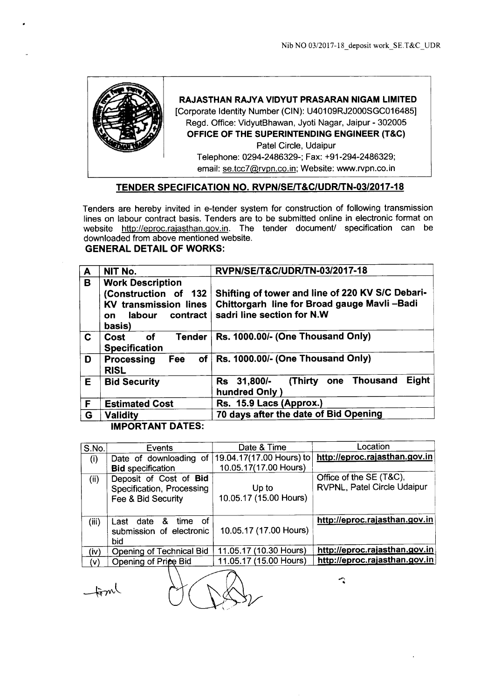

## **RAJASTHAN RAJYA VIDYUT PRASARAN NIGAM LIMITED**

[Corporate Identity Number (CIN): U40109RJ2000SGC016485] Regd. Office: VidyutBhawan, Jyoti Nagar, Jaipur - 302005 **OFFICE OF THE SUPERINTENDING ENGINEER (T&C)** Patel Circle, Udaipur Telephone: 0294-2486329-; Fax: +91-294-2486329; email: se.tcc7@rvpn.co.in; Website: www.rvpn.co.in

# **TENDER SPECIFICATION NO. RVPN/SEIT&C/UDRlTN-03/2017-18**

Tenders are hereby invited in e-tender system for construction of following transmission lines on labour contract basis. Tenders are to be submitted online in electronic format on website http://eproc.rajasthan.gov.in. The tender document/ specification can be downloaded from above mentioned website.

# **GENERAL DETAIL OF WORKS:**

| $\mathbf{A}$ | NIT No.                                                                                                                | RVPN/SE/T&C/UDR/TN-03/2017-18                                                                                                 |  |  |
|--------------|------------------------------------------------------------------------------------------------------------------------|-------------------------------------------------------------------------------------------------------------------------------|--|--|
| B            | <b>Work Description</b><br>(Construction of 132<br><b>KV transmission lines</b><br>labour<br>contract<br>on.<br>basis) | Shifting of tower and line of 220 KV S/C Debari-<br>Chittorgarh line for Broad gauge Mavli-Badi<br>sadri line section for N.W |  |  |
| C.           | <b>Tender</b><br>оf<br>Cost<br><b>Specification</b>                                                                    | Rs. 1000.00/- (One Thousand Only)                                                                                             |  |  |
| D            | of<br>Processing<br>Fee<br><b>RISL</b>                                                                                 | Rs. 1000.00/- (One Thousand Only)                                                                                             |  |  |
| E            | <b>Bid Security</b>                                                                                                    | Eight<br>one Thousand<br>(Thirty<br>Rs 31,800/-<br>hundred Only )                                                             |  |  |
| F            | <b>Estimated Cost</b>                                                                                                  | Rs. 15.9 Lacs (Approx.)                                                                                                       |  |  |
| G            | <b>Validity</b>                                                                                                        | 70 days after the date of Bid Opening                                                                                         |  |  |
|              | HIBARTINT BITER.                                                                                                       |                                                                                                                               |  |  |

# **IMPORTANT DATES:**

| S.No. | Events                                                                    | Date & Time                     | Location                                               |
|-------|---------------------------------------------------------------------------|---------------------------------|--------------------------------------------------------|
| (i)   | Date of downloading of                                                    | 19.04.17(17.00 Hours) to        | http://eproc.rajasthan.gov.in                          |
|       | <b>Bid specification</b>                                                  | 10.05.17(17.00 Hours)           |                                                        |
| (ii)  | Deposit of Cost of Bid<br>Specification, Processing<br>Fee & Bid Security | Up to<br>10.05.17 (15.00 Hours) | Office of the SE (T&C),<br>RVPNL, Patel Circle Udaipur |
| (iii) | - of<br>time<br>&<br>date<br>Last<br>submission of electronic<br>bid      | 10.05.17 (17.00 Hours)          | http://eproc.rajasthan.gov.in                          |
| (iv)  | Opening of Technical Bid                                                  | 11.05.17 (10.30 Hours)          | http://eproc.rajasthan.gov.in                          |
| (v)   | Opening of Price Bid                                                      | 11.05.17 (15.00 Hours)          | http://eproc.rajasthan.gov.in                          |

 $-$ foml

 $\partial(\nabla\mathbb{A})$ 

 $\mathcal{L}$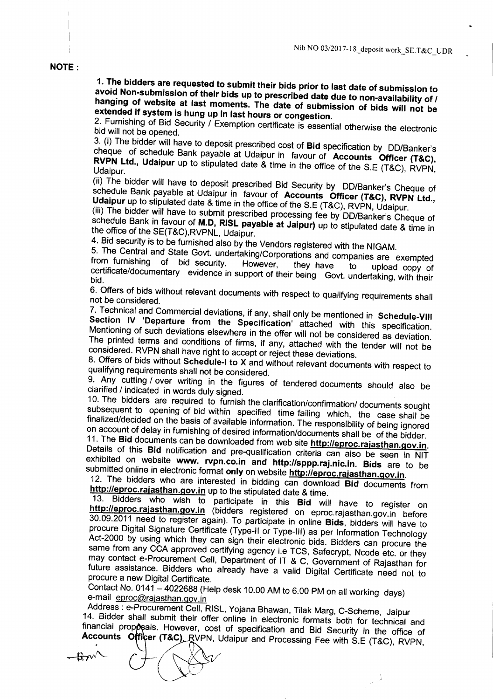#### NOTE:

1. The bidders are requested to submit their bids prior to last date of submission to avoid Non-submission of their bids up to prescribed date due to non-availability of *I* hanging of website at last moments. The date of submission of bids will not be extended if system is hung up in last hours or congestion.

2. Furnishing of Bid Security / Exemption certificate is essential otherwise the electronic bid will not be opened.

3. (i) The bidder will have to deposit prescribed cost of Bid specification by DO/Banker's cheque of schedule Bank payable at Udaipur in favour of Accounts Officer (T&C), **KVPN Ltd., Udaipur** up to stipulated date & time in the office of the S.E (T&C), RVPN,<br>Udaipur.

(ii) The bidder will have to deposit prescribed Bid Security by DO/Banker's Cheque of schedule Bank payable at Udaipur in favour of Accounts Officer (T&C), RVPN Ltd., Udaipur up to stipulated date & time in the office of the S.E (T&C), RVPN, Udaipur.

(iii) The bidder will have to submit prescribed processing fee by DO/Banker's Cheque of schedule Bank in favour of M.D, RISL payable at Jaipur) up to stipulated date & time in the office of the SE(T&C),RVPNL, Udaipur.

4. Bid security is to be furnished also by the Vendors registered with the NIGAM.

5. The Central and State Govt. undertaking/Corporations and companies are exempted<br>from furnishing of bid security. However, they have to unlead convert from furnishing of bid security. However, they have to upload copy of certificate/documentary evidence in support of their being Govt. undertaking, with their bid.

6. Offers of bids without relevant documents with respect to qualifying requirements shall not be considered.

7. Technical and Commercial deviations, if any, shall only be mentioned in Schedule-VIII Section IV 'Departure from the Specification' attached with this specification. Mentioning of such deviations elsewhere in the offer will not be considered as deviation. The printed terms and conditions of firms, if any, attached with the tender will not be considered. RVPN shall have right to accept or reject these deviations.

8. Offers of bids without Schedule-I to X and without relevant documents with respect to qualifying requirements shall not be considered.

9. Any cutting / over writing in the figures of tendered documents should also be clarified / indicated in words duly signed.

10. The bidders are required to furnish the clarification/confirmation/ documents sought subsequent to opening of bid within specified time failing which, the case shall be finalized/decided on the basis of available information. The responsibility of being ignored on account of delay in furnishing of desired information/documents shall be of the bidder.

11. The Bid documents can be downloaded from web site http://eproc.rajasthan.gov.in. Details of this Bid notification and pre-qualification criteria can also be seen in NIT exhibited on website www. rvpn.co.in and http://sppp.raj.nic.in. Bids are to be submitted online in electronic format only on website http://eproc.rajasthan.gov.in.

12. The bidders who are interested in bidding can download Bid documents from http://eproc.rajasthan.gov.in up to the stipulated date & time.

13. Bidders who wish to participate in this Bid will have to register on http://eproc.rajasthan.gov.in (bidders registered on eproc.rajasthan.gov.in before 30.09.2011 need to register again). To participate in online Bids, bidders will have to procure Digital Signature Certificate (Type-II or Type-III) as per Information Technology Act-2000 by using which they can sign their electronic bids. Bidders can procure the same from any CCA approved certifying agency i.e TCS, Safecrypt, Ncode etc. or they may contact e-Procurement Cell, Department of IT & C, Government of Rajasthan for future assistance. Bidders who already have a valid Digital Certificate need not to procure a new Digital Certificate.

Contact No.  $0141 - 4022688$  (Help desk 10.00 AM to 6.00 PM on all working days) e-mail eproc@rajasthan.gov.in

 $\overline{\mathcal{L}}$ 

Address: e-Procurement Cell, RISL, Yojana Bhawan, Tilak Marg, C-Scheme, Jaipur 14. Bidder shall submit their offer online in electronic formats both for technical and financial proposals. However, cost of specification and Bid Security in the office of Accounts Officer (T&C), RVPN, Udaipur and Processing Fee with S.E (T&C), RVPN,

 $-{\bf k}\!\cdot\!{\bf w}$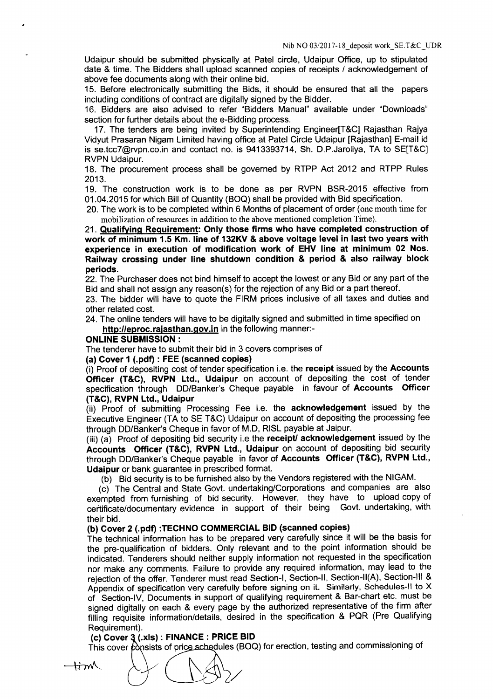Udaipur should be submitted physically at Patel circle, Udaipur Office, up to stipulated date & time. The Bidders shall upload scanned copies of receipts / acknowledgement of above fee documents along with their online bid.

15. Before electronically submitting the Bids, it should be ensured that all the papers including conditions of contract are digitally signed by the Bidder.

16. Bidders are also advised to refer "Bidders Manual" available under "Downloads" section for further details about the e-Bidding process.

17. The tenders are being invited by Superintending Engineer[T&C] Rajasthan Rajya Vidyut Prasaran Nigam Limited having office at Patel Circle Udaipur [Rajasthan] E-mail id is se.tcc7@rvpn.co.in and contact no. is 9413393714, Sh. D.P.Jaroliya, TA to SE[T&C] RVPN Udaipur.

18. The procurement process shall be governed by RTPP Act 2012 and RTPP Rules 2013.

19. The construction work is to be done as per RVPN BSR-2015 effective from 01.04.2015 for which Bill of Quantity (BOQ) shall be provided with Bid specification.

20. The work is to be completed within 6 Months of placement of order (one month time for mobilization of resources in addition to the above mentioned completion Time).

21. Qualifying Requirement: Only those firms who have completed construction of work of minimum 1.5 Km. line of 132KV & above voltage level in last two years with experience in execution of modification work of EHV line at minimum 02 Nos. Railway crossing under line shutdown condition & period & also railway block periods.

22. The Purchaser does not bind himself to accept the lowest or any Bid or any part of the Bid and shall not assign any reason(s) for the rejection of any Bid or a part thereof.

23. The bidder will have to quote the FIRM prices inclusive of all taxes and duties and other related cost.

24. The online tenders will have to be digitally signed and submitted in time specified on http://eproc.rajasthan.gov.in in the following manner:-

#### ONLINE SUBMISSION:

The tenderer have to submit their bid in 3 covers comprises of

## (a) Cover 1 (.pdf) : FEE (scanned copies)

(i) Proof of depositing cost of tender specification i.e. the receipt issued by the Accounts Officer (T&C), RVPN Ltd., Udaipur on account of depositing the cost of tender specification through DO/Banker's Cheque payable in favour of Accounts Officer (T&C), RVPN Ltd., Udaipur

(ii) Proof of submitting Processing Fee i.e. the acknowledgement issued by the Executive Engineer (TA to SE T&C) Udaipur on account of depositing the processing fee through DO/Banker's Cheque in favor of M.D, RISL payable at Jaipur.

(iii) (a) Proof of depositing bid security i.e the receipt/ acknowledgement issued by the Accounts Officer (T&C), RVPN Ltd., Udaipur on account of depositing bid security through DO/Banker's Cheque payable in favor of Accounts Officer (T&C), RVPN Ltd., Udaipur or bank guarantee in prescribed format.

(b) Bid security is to be furnished also by the Vendors registered with the NIGAM.

(c) The Central and State Govt. undertaking/Corporations and companies are also exempted from furnishing of bid security. However, they have to upload copy of certificate/documentary evidence in support of their being Govt. undertaking, with their bid.

## (b) Cover 2 (.pdf) :TECHNO COMMERCIAL BID (scanned copies)

The technical information has to be prepared very carefully since it will be the basis for the pre-qualification of bidders. Only relevant and to the point information should be indicated. Tenderers should neither supply information not requested in the specification nor make any comments. Failure to provide any required information, may lead to the rejection of the offer. Tenderer must read Section-I, Section-II, Section-II(A), Section-III & Appendix of specification very carefully before signing on it. Similarly, Schedules-II to X of Section-IV, Documents in support of qualifying requirement & Bar-chart etc. must be signed digitally on each & every page by the authorized representative of the firm after filling requisite information/details, desired in the specification & PQR (Pre Qualifying Requirement).

# (c) Cover  $3$  (.xls): FINANCE: PRICE BID

This cover  $\phi$  onsists of price schedules (BOQ) for erection, testing and commissioning of

**-tim**